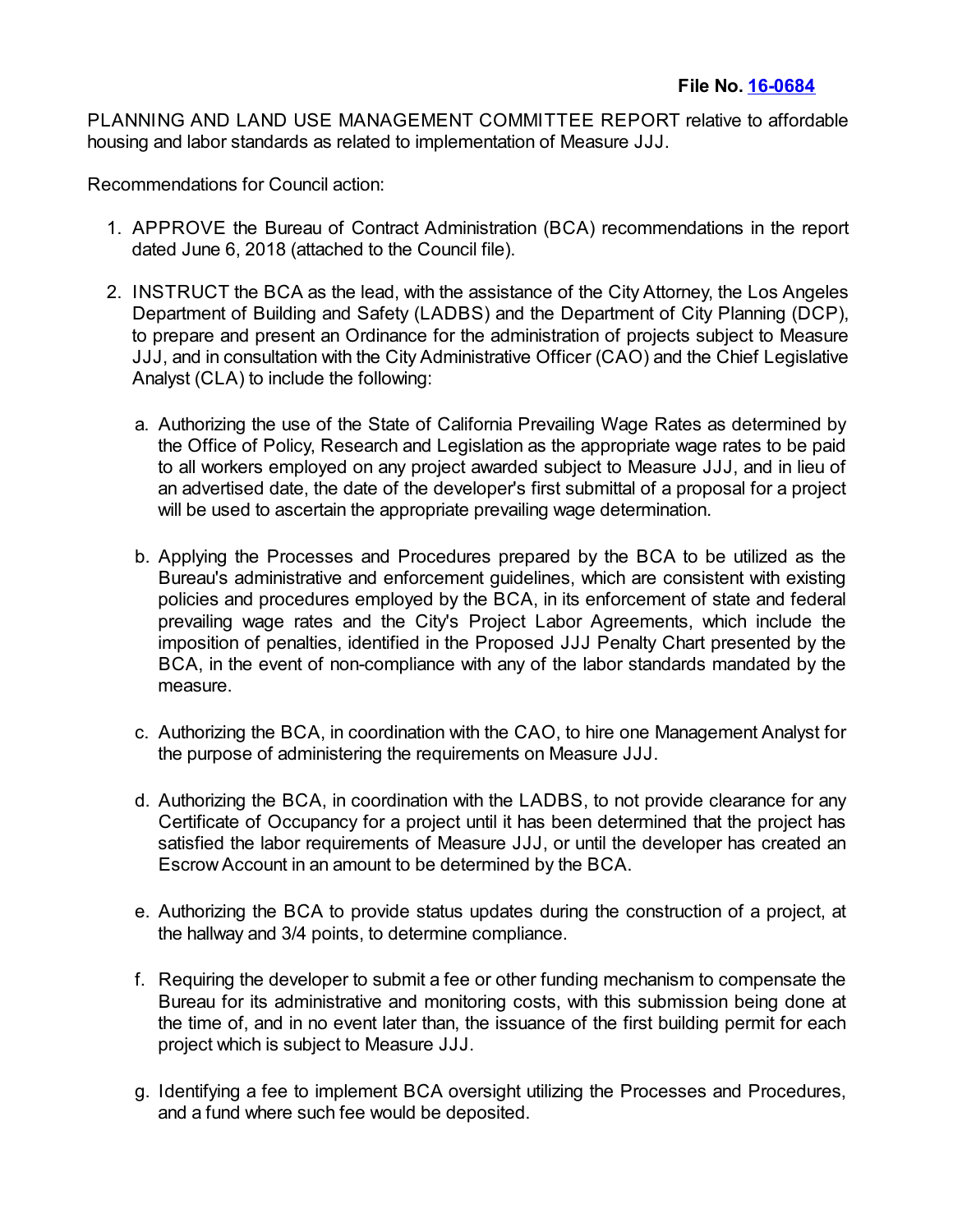PLANNING AND LAND USE MANAGEMENT COMMITTEE REPORT relative to affordable housing and labor standards as related to implementation of Measure JJJ.

Recommendations for Council action:

- 1. APPROVE the Bureau of Contract Administration (BCA) recommendations in the report dated June 6, 2018 (attached to the Council file).
- 2. INSTRUCT the BCA as the lead, with the assistance of the City Attorney, the Los Angeles Department of Building and Safety (LADBS) and the Department of City Planning (DCP), to prepare and present an Ordinance for the administration of projects subject to Measure JJJ, and in consultation with the City Administrative Officer (CAO) and the Chief Legislative Analyst (CLA) to include the following:
	- a. Authorizing the use of the State of California Prevailing Wage Rates as determined by the Office of Policy, Research and Legislation as the appropriate wage rates to be paid to all workers employed on any project awarded subject to Measure JJJ, and in lieu of an advertised date, the date of the developer's first submittal of a proposal for a project will be used to ascertain the appropriate prevailing wage determination.
	- b. Applying the Processes and Procedures prepared by the BCA to be utilized as the Bureau's administrative and enforcement guidelines, which are consistent with existing policies and procedures employed by the BCA, in its enforcement of state and federal prevailing wage rates and the City's Project Labor Agreements, which include the imposition of penalties, identified in the Proposed JJJ Penalty Chart presented by the BCA, in the event of non-compliance with any of the labor standards mandated by the measure.
	- c. Authorizing the BCA, in coordination with the CAO, to hire one Management Analyst for the purpose of administering the requirements on Measure JJJ.
	- d. Authorizing the BCA, in coordination with the LADBS, to not provide clearance for any Certificate of Occupancy for a project until it has been determined that the project has satisfied the labor requirements of Measure JJJ, or until the developer has created an EscrowAccount in an amount to be determined by the BCA.
	- e. Authorizing the BCA to provide status updates during the construction of a project, at the hallway and 3/4 points, to determine compliance.
	- f. Requiring the developer to submit a fee or other funding mechanism to compensate the Bureau for its administrative and monitoring costs, with this submission being done at the time of, and in no event later than, the issuance of the first building permit for each project which is subject to Measure JJJ.
	- g. Identifying a fee to implement BCA oversight utilizing the Processes and Procedures, and a fund where such fee would be deposited.